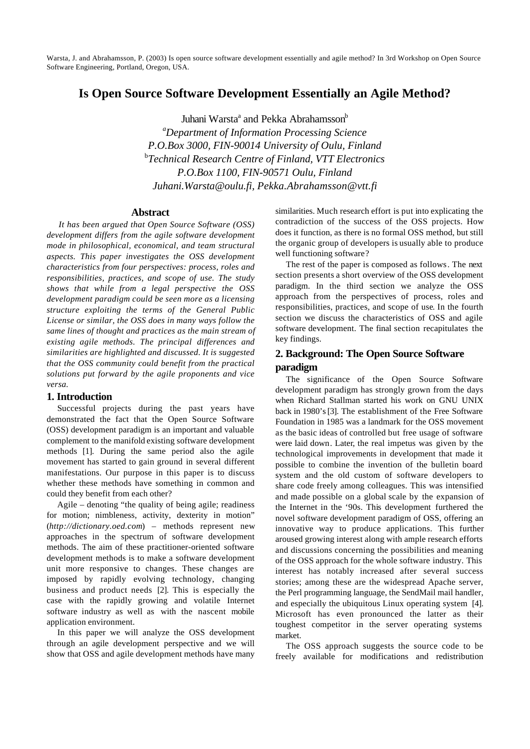# **Is Open Source Software Development Essentially an Agile Method?**

Juhani Warsta<sup>a</sup> and Pekka Abrahamsson<sup>b</sup> *<sup>a</sup>Department of Information Processing Science P.O.Box 3000, FIN-90014 University of Oulu, Finland* b *Technical Research Centre of Finland, VTT Electronics P.O.Box 1100, FIN-90571 Oulu, Finland Juhani.Warsta@oulu.fi, Pekka.Abrahamsson@vtt.fi*

## **Abstract**

*It has been argued that Open Source Software (OSS) development differs from the agile software development mode in philosophical, economical, and team structural aspects. This paper investigates the OSS development characteristics from four perspectives: process, roles and responsibilities, practices, and scope of use. The study shows that while from a legal perspective the OSS development paradigm could be seen more as a licensing structure exploiting the terms of the General Public License or similar, the OSS does in many ways follow the same lines of thought and practices as the main stream of existing agile methods. The principal differences and similarities are highlighted and discussed. It is suggested that the OSS community could benefit from the practical solutions put forward by the agile proponents and vice versa.*

## **1. Introduction**

Successful projects during the past years have demonstrated the fact that the Open Source Software (OSS) development paradigm is an important and valuable complement to the manifold existing software development methods [1]. During the same period also the agile movement has started to gain ground in several different manifestations. Our purpose in this paper is to discuss whether these methods have something in common and could they benefit from each other?

Agile – denoting "the quality of being agile; readiness for motion; nimbleness, activity, dexterity in motion" (*http://dictionary.oed.com*) – methods represent new approaches in the spectrum of software development methods. The aim of these practitioner-oriented software development methods is to make a software development unit more responsive to changes. These changes are imposed by rapidly evolving technology, changing business and product needs [2]. This is especially the case with the rapidly growing and volatile Internet software industry as well as with the nascent mobile application environment.

In this paper we will analyze the OSS development through an agile development perspective and we will show that OSS and agile development methods have many

similarities. Much research effort is put into explicating the contradiction of the success of the OSS projects. How does it function, as there is no formal OSS method, but still the organic group of developers is usually able to produce well functioning software?

The rest of the paper is composed as follows. The next section presents a short overview of the OSS development paradigm. In the third section we analyze the OSS approach from the perspectives of process, roles and responsibilities, practices, and scope of use. In the fourth section we discuss the characteristics of OSS and agile software development. The final section recapitulates the key findings.

## **2. Background: The Open Source Software paradigm**

The significance of the Open Source Software development paradigm has strongly grown from the days when Richard Stallman started his work on GNU UNIX back in 1980's [3]. The establishment of the Free Software Foundation in 1985 was a landmark for the OSS movement as the basic ideas of controlled but free usage of software were laid down. Later, the real impetus was given by the technological improvements in development that made it possible to combine the invention of the bulletin board system and the old custom of software developers to share code freely among colleagues. This was intensified and made possible on a global scale by the expansion of the Internet in the '90s. This development furthered the novel software development paradigm of OSS, offering an innovative way to produce applications. This further aroused growing interest along with ample research efforts and discussions concerning the possibilities and meaning of the OSS approach for the whole software industry. This interest has notably increased after several success stories; among these are the widespread Apache server, the Perl programming language, the SendMail mail handler, and especially the ubiquitous Linux operating system [4]. Microsoft has even pronounced the latter as their toughest competitor in the server operating systems market.

The OSS approach suggests the source code to be freely available for modifications and redistribution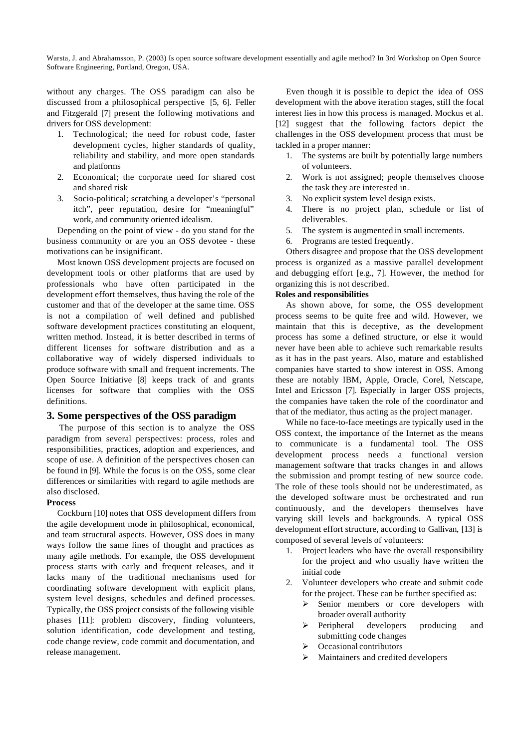without any charges. The OSS paradigm can also be discussed from a philosophical perspective [5, 6]. Feller and Fitzgerald [7] present the following motivations and drivers for OSS development:

- 1. Technological; the need for robust code, faster development cycles, higher standards of quality, reliability and stability, and more open standards and platforms
- 2. Economical; the corporate need for shared cost and shared risk
- 3. Socio-political; scratching a developer's "personal itch", peer reputation, desire for "meaningful" work, and community oriented idealism.

Depending on the point of view - do you stand for the business community or are you an OSS devotee - these motivations can be insignificant.

Most known OSS development projects are focused on development tools or other platforms that are used by professionals who have often participated in the development effort themselves, thus having the role of the customer and that of the developer at the same time. OSS is not a compilation of well defined and published software development practices constituting an eloquent, written method. Instead, it is better described in terms of different licenses for software distribution and as a collaborative way of widely dispersed individuals to produce software with small and frequent increments. The Open Source Initiative [8] keeps track of and grants licenses for software that complies with the OSS definitions.

#### **3. Some perspectives of the OSS paradigm**

The purpose of this section is to analyze the OSS paradigm from several perspectives: process, roles and responsibilities, practices, adoption and experiences, and scope of use. A definition of the perspectives chosen can be found in [9]. While the focus is on the OSS, some clear differences or similarities with regard to agile methods are also disclosed.

#### **Process**

Cockburn [10] notes that OSS development differs from the agile development mode in philosophical, economical, and team structural aspects. However, OSS does in many ways follow the same lines of thought and practices as many agile methods. For example, the OSS development process starts with early and frequent releases, and it lacks many of the traditional mechanisms used for coordinating software development with explicit plans, system level designs, schedules and defined processes. Typically, the OSS project consists of the following visible phases [11]: problem discovery, finding volunteers, solution identification, code development and testing, code change review, code commit and documentation, and release management.

Even though it is possible to depict the idea of OSS development with the above iteration stages, still the focal interest lies in how this process is managed. Mockus et al. [12] suggest that the following factors depict the challenges in the OSS development process that must be tackled in a proper manner:

- 1. The systems are built by potentially large numbers of volunteers.
- 2. Work is not assigned; people themselves choose the task they are interested in.
- 3. No explicit system level design exists.
- 4. There is no project plan, schedule or list of deliverables.
- 5. The system is augmented in small increments.
- 6. Programs are tested frequently.

Others disagree and propose that the OSS development process is organized as a massive parallel development and debugging effort [e.g., 7]. However, the method for organizing this is not described.

#### **Roles and responsibilities**

As shown above, for some, the OSS development process seems to be quite free and wild. However, we maintain that this is deceptive, as the development process has some a defined structure, or else it would never have been able to achieve such remarkable results as it has in the past years. Also, mature and established companies have started to show interest in OSS. Among these are notably IBM, Apple, Oracle, Corel, Netscape, Intel and Ericsson [7]. Especially in larger OSS projects, the companies have taken the role of the coordinator and that of the mediator, thus acting as the project manager.

While no face-to-face meetings are typically used in the OSS context, the importance of the Internet as the means to communicate is a fundamental tool. The OSS development process needs a functional version management software that tracks changes in and allows the submission and prompt testing of new source code. The role of these tools should not be underestimated, as the developed software must be orchestrated and run continuously, and the developers themselves have varying skill levels and backgrounds. A typical OSS development effort structure, according to Gallivan, [13] is composed of several levels of volunteers:

- 1. Project leaders who have the overall responsibility for the project and who usually have written the initial code
- 2. Volunteer developers who create and submit code for the project. These can be further specified as:
	- $\triangleright$  Senior members or core developers with broader overall authority
	- > Peripheral developers producing and submitting code changes
	- Occasional contributors
	- Maintainers and credited developers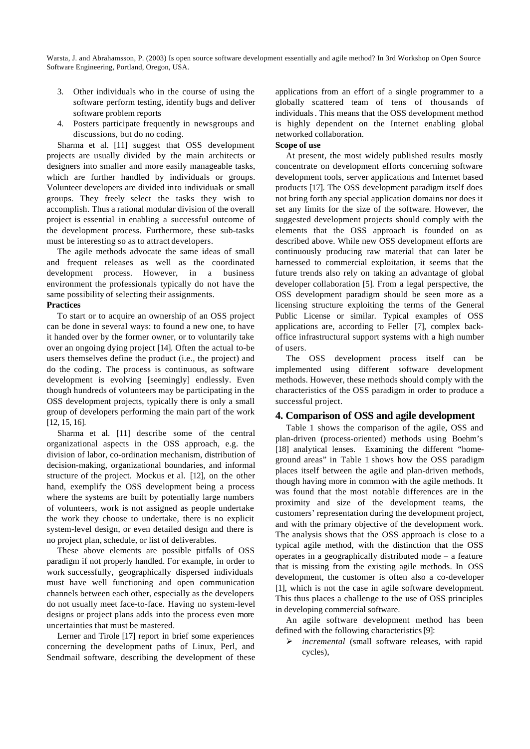- 3. Other individuals who in the course of using the software perform testing, identify bugs and deliver software problem reports
- 4. Posters participate frequently in newsgroups and discussions, but do no coding.

Sharma et al. [11] suggest that OSS development projects are usually divided by the main architects or designers into smaller and more easily manageable tasks, which are further handled by individuals or groups. Volunteer developers are divided into individuals or small groups. They freely select the tasks they wish to accomplish. Thus a rational modular division of the overall project is essential in enabling a successful outcome of the development process. Furthermore, these sub-tasks must be interesting so as to attract developers.

The agile methods advocate the same ideas of small and frequent releases as well as the coordinated development process. However, in a business environment the professionals typically do not have the same possibility of selecting their assignments.

#### **Practices**

To start or to acquire an ownership of an OSS project can be done in several ways: to found a new one, to have it handed over by the former owner, or to voluntarily take over an ongoing dying project [14]. Often the actual to-be users themselves define the product (i.e., the project) and do the coding. The process is continuous, as software development is evolving [seemingly] endlessly. Even though hundreds of volunteers may be participating in the OSS development projects, typically there is only a small group of developers performing the main part of the work [12, 15, 16].

Sharma et al. [11] describe some of the central organizational aspects in the OSS approach, e.g. the division of labor, co-ordination mechanism, distribution of decision-making, organizational boundaries, and informal structure of the project. Mockus et al. [12], on the other hand, exemplify the OSS development being a process where the systems are built by potentially large numbers of volunteers, work is not assigned as people undertake the work they choose to undertake, there is no explicit system-level design, or even detailed design and there is no project plan, schedule, or list of deliverables.

These above elements are possible pitfalls of OSS paradigm if not properly handled. For example, in order to work successfully, geographically dispersed individuals must have well functioning and open communication channels between each other, especially as the developers do not usually meet face-to-face. Having no system-level designs or project plans adds into the process even more uncertainties that must be mastered.

Lerner and Tirole [17] report in brief some experiences concerning the development paths of Linux, Perl, and Sendmail software, describing the development of these applications from an effort of a single programmer to a globally scattered team of tens of thousands of individuals. This means that the OSS development method is highly dependent on the Internet enabling global networked collaboration.

#### **Scope of use**

At present, the most widely published results mostly concentrate on development efforts concerning software development tools, server applications and Internet based products [17]. The OSS development paradigm itself does not bring forth any special application domains nor does it set any limits for the size of the software. However, the suggested development projects should comply with the elements that the OSS approach is founded on as described above. While new OSS development efforts are continuously producing raw material that can later be harnessed to commercial exploitation, it seems that the future trends also rely on taking an advantage of global developer collaboration [5]. From a legal perspective, the OSS development paradigm should be seen more as a licensing structure exploiting the terms of the General Public License or similar. Typical examples of OSS applications are, according to Feller [7], complex backoffice infrastructural support systems with a high number of users.

The OSS development process itself can be implemented using different software development methods. However, these methods should comply with the characteristics of the OSS paradigm in order to produce a successful project.

## **4. Comparison of OSS and agile development**

Table 1 shows the comparison of the agile, OSS and plan-driven (process-oriented) methods using Boehm's [18] analytical lenses. Examining the different "homeground areas" in Table 1 shows how the OSS paradigm places itself between the agile and plan-driven methods, though having more in common with the agile methods. It was found that the most notable differences are in the proximity and size of the development teams, the customers' representation during the development project, and with the primary objective of the development work. The analysis shows that the OSS approach is close to a typical agile method, with the distinction that the OSS operates in a geographically distributed mode – a feature that is missing from the existing agile methods. In OSS development, the customer is often also a co-developer [1], which is not the case in agile software development. This thus places a challenge to the use of OSS principles in developing commercial software.

An agile software development method has been defined with the following characteristics [9]:

ÿ *incremental* (small software releases, with rapid cycles),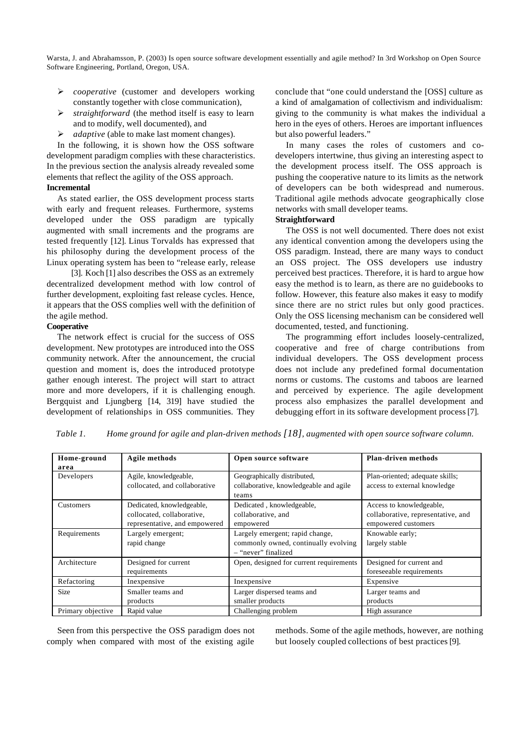- ÿ *cooperative* (customer and developers working constantly together with close communication),
- $\triangleright$  *straightforward* (the method itself is easy to learn and to modify, well documented), and
- ÿ *adaptive* (able to make last moment changes).

In the following, it is shown how the OSS software development paradigm complies with these characteristics. In the previous section the analysis already revealed some elements that reflect the agility of the OSS approach.

## **Incremental**

As stated earlier, the OSS development process starts with early and frequent releases. Furthermore, systems developed under the OSS paradigm are typically augmented with small increments and the programs are tested frequently [12]. Linus Torvalds has expressed that his philosophy during the development process of the Linux operating system has been to "release early, release

[3]. Koch [1] also describes the OSS as an extremely decentralized development method with low control of further development, exploiting fast release cycles. Hence, it appears that the OSS complies well with the definition of the agile method.

## **Cooperative**

The network effect is crucial for the success of OSS development. New prototypes are introduced into the OSS community network. After the announcement, the crucial question and moment is, does the introduced prototype gather enough interest. The project will start to attract more and more developers, if it is challenging enough. Bergquist and Ljungberg [14, 319] have studied the development of relationships in OSS communities. They conclude that "one could understand the [OSS] culture as a kind of amalgamation of collectivism and individualism: giving to the community is what makes the individual a hero in the eyes of others. Heroes are important influences but also powerful leaders."

In many cases the roles of customers and codevelopers intertwine, thus giving an interesting aspect to the development process itself. The OSS approach is pushing the cooperative nature to its limits as the network of developers can be both widespread and numerous. Traditional agile methods advocate geographically close networks with small developer teams.

### **Straightforward**

The OSS is not well documented. There does not exist any identical convention among the developers using the OSS paradigm. Instead, there are many ways to conduct an OSS project. The OSS developers use industry perceived best practices. Therefore, it is hard to argue how easy the method is to learn, as there are no guidebooks to follow. However, this feature also makes it easy to modify since there are no strict rules but only good practices. Only the OSS licensing mechanism can be considered well documented, tested, and functioning.

The programming effort includes loosely-centralized, cooperative and free of charge contributions from individual developers. The OSS development process does not include any predefined formal documentation norms or customs. The customs and taboos are learned and perceived by experience. The agile development process also emphasizes the parallel development and debugging effort in its software development process [7].

| Table 1. | Home ground for agile and plan-driven methods $[18]$ , augmented with open source software column. |  |  |
|----------|----------------------------------------------------------------------------------------------------|--|--|
|----------|----------------------------------------------------------------------------------------------------|--|--|

| Home-ground<br>area | Agile methods                                                                            | Open source software                                                                           | <b>Plan-driven methods</b>                                                            |
|---------------------|------------------------------------------------------------------------------------------|------------------------------------------------------------------------------------------------|---------------------------------------------------------------------------------------|
| Developers          | Agile, knowledgeable,<br>collocated, and collaborative                                   | Geographically distributed,<br>collaborative, knowledgeable and agile<br>teams                 | Plan-oriented; adequate skills;<br>access to external knowledge                       |
| Customers           | Dedicated, knowledgeable,<br>collocated, collaborative,<br>representative, and empowered | Dedicated, knowledgeable,<br>collaborative, and<br>empowered                                   | Access to knowledgeable,<br>collaborative, representative, and<br>empowered customers |
| Requirements        | Largely emergent;<br>rapid change                                                        | Largely emergent; rapid change,<br>commonly owned, continually evolving<br>- "never" finalized | Knowable early;<br>largely stable                                                     |
| Architecture        | Designed for current<br>requirements                                                     | Open, designed for current requirements                                                        | Designed for current and<br>foreseeable requirements                                  |
| Refactoring         | Inexpensive                                                                              | Inexpensive                                                                                    | Expensive                                                                             |
| <b>Size</b>         | Smaller teams and<br>products                                                            | Larger dispersed teams and<br>smaller products                                                 | Larger teams and<br>products                                                          |
| Primary objective   | Rapid value                                                                              | Challenging problem                                                                            | High assurance                                                                        |

Seen from this perspective the OSS paradigm does not comply when compared with most of the existing agile

methods. Some of the agile methods, however, are nothing but loosely coupled collections of best practices [9].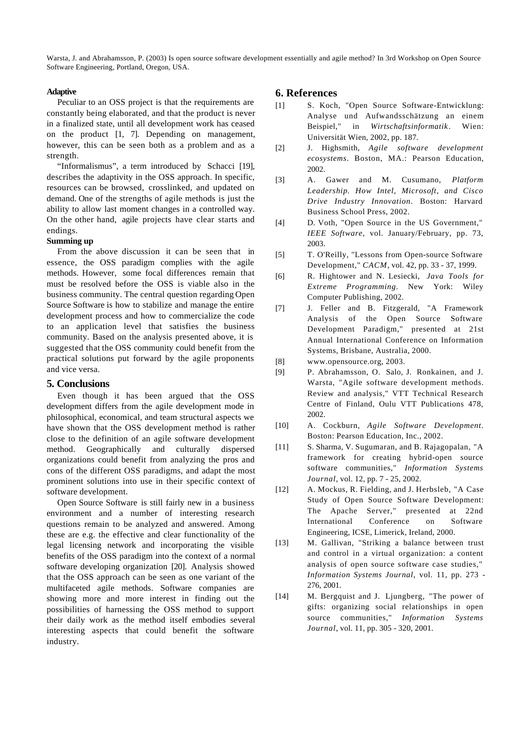#### **Adaptive**

Peculiar to an OSS project is that the requirements are constantly being elaborated, and that the product is never in a finalized state, until all development work has ceased on the product [1, 7]. Depending on management, however, this can be seen both as a problem and as a strength.

"Informalismus", a term introduced by Schacci [19], describes the adaptivity in the OSS approach. In specific, resources can be browsed, crosslinked, and updated on demand. One of the strengths of agile methods is just the ability to allow last moment changes in a controlled way. On the other hand, agile projects have clear starts and endings.

#### **Summing up**

From the above discussion it can be seen that in essence, the OSS paradigm complies with the agile methods. However, some focal differences remain that must be resolved before the OSS is viable also in the business community. The central question regarding Open Source Software is how to stabilize and manage the entire development process and how to commercialize the code to an application level that satisfies the business community. Based on the analysis presented above, it is suggested that the OSS community could benefit from the practical solutions put forward by the agile proponents and vice versa.

### **5. Conclusions**

Even though it has been argued that the OSS development differs from the agile development mode in philosophical, economical, and team structural aspects we have shown that the OSS development method is rather close to the definition of an agile software development method. Geographically and culturally dispersed organizations could benefit from analyzing the pros and cons of the different OSS paradigms, and adapt the most prominent solutions into use in their specific context of software development.

Open Source Software is still fairly new in a business environment and a number of interesting research questions remain to be analyzed and answered. Among these are e.g. the effective and clear functionality of the legal licensing network and incorporating the visible benefits of the OSS paradigm into the context of a normal software developing organization [20]. Analysis showed that the OSS approach can be seen as one variant of the multifaceted agile methods. Software companies are showing more and more interest in finding out the possibilities of harnessing the OSS method to support their daily work as the method itself embodies several interesting aspects that could benefit the software industry.

## **6. References**

- [1] S. Koch, "Open Source Software-Entwicklung: Analyse und Aufwandsschätzung an einem Beispiel," in *Wirtschaftsinformatik* . Wien: Universität Wien, 2002, pp. 187.
- [2] J. Highsmith, *Agile software development ecosystems*. Boston, MA.: Pearson Education, 2002.
- [3] A. Gawer and M. Cusumano, *Platform Leadership. How Intel, Microsoft, and Cisco Drive Industry Innovation*. Boston: Harvard Business School Press, 2002.
- [4] D. Voth, "Open Source in the US Government," *IEEE Software*, vol. January/February, pp. 73, 2003.
- [5] T. O'Reilly, "Lessons from Open-source Software Development," *CACM*, vol. 42, pp. 33 - 37, 1999.
- [6] R. Hightower and N. Lesiecki, *Java Tools for Extreme Programming*. New York: Wiley Computer Publishing, 2002.
- [7] J. Feller and B. Fitzgerald, "A Framework Analysis of the Open Source Software Development Paradigm," presented at 21st Annual International Conference on Information Systems, Brisbane, Australia, 2000.
- [8] www.opensource.org, 2003.
- [9] P. Abrahamsson, O. Salo, J. Ronkainen, and J. Warsta, "Agile software development methods. Review and analysis," VTT Technical Research Centre of Finland, Oulu VTT Publications 478, 2002.
- [10] A. Cockburn, *Agile Software Development*. Boston: Pearson Education, Inc., 2002.
- [11] S. Sharma, V. Sugumaran, and B. Rajagopalan, "A framework for creating hybrid-open source software communities," *Information Systems Journal*, vol. 12, pp. 7 - 25, 2002.
- [12] A. Mockus, R. Fielding, and J. Herbsleb, "A Case Study of Open Source Software Development: The Apache Server," presented at 22nd International Conference on Software Engineering, ICSE, Limerick, Ireland, 2000.
- [13] M. Gallivan, "Striking a balance between trust and control in a virtual organization: a content analysis of open source software case studies," *Information Systems Journal*, vol. 11, pp. 273 - 276, 2001.
- [14] M. Bergquist and J. Ljungberg, "The power of gifts: organizing social relationships in open source communities," *Information Systems Journal*, vol. 11, pp. 305 - 320, 2001.